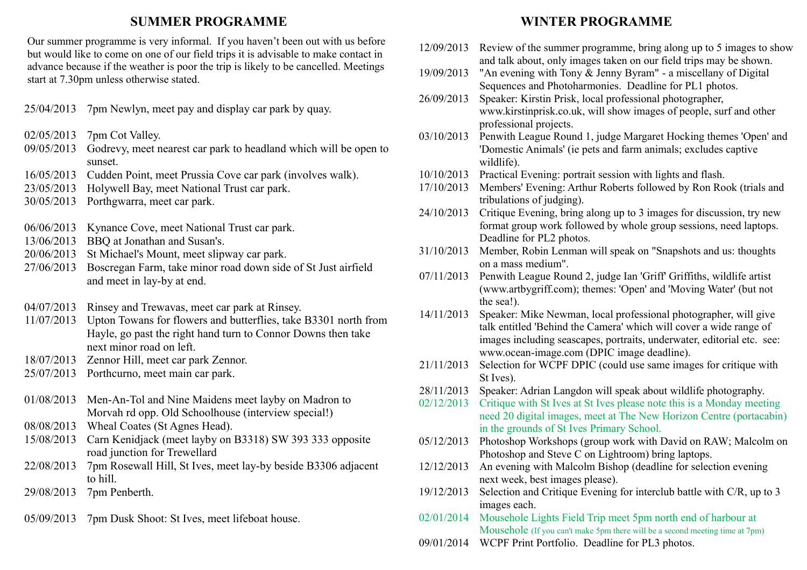## **SUMMER PROGRAMME**

Our summer programme is very informal. If you haven't been out with us before but would like to come on one of our field trips it is advisable to make contact in advance because if the weather is poor the trip is likely to be cancelled. Meetings start at 7.30pm unless otherwise stated.

25/04/2013 7pm Newlyn, meet pay and display car park by quay.

- 02/05/2013 7pm Cot Valley.
- 09/05/2013 Godrevy, meet nearest car park to headland which will be open to sunset.
- 16/05/2013 Cudden Point, meet Prussia Cove car park (involves walk).
- 23/05/2013 Holywell Bay, meet National Trust car park.
- 30/05/2013 Porthgwarra, meet car park.
- 06/06/2013 Kynance Cove, meet National Trust car park.
- 13/06/2013 BBQ at Jonathan and Susan's.
- 20/06/2013 St Michael's Mount, meet slipway car park.
- 27/06/2013 Boscregan Farm, take minor road down side of St Just airfield and meet in lay-by at end.
- 04/07/2013 Rinsey and Trewavas, meet car park at Rinsey.
- 11/07/2013 Upton Towans for flowers and butterflies, take B3301 north from Hayle, go past the right hand turn to Connor Downs then take next minor road on left.
- 18/07/2013 Zennor Hill, meet car park Zennor.
- 25/07/2013 Porthcurno, meet main car park.
- 01/08/2013 Men-An-Tol and Nine Maidens meet layby on Madron to Morvah rd opp. Old Schoolhouse (interview special!)
- 08/08/2013 Wheal Coates (St Agnes Head).
- 15/08/2013 Carn Kenidjack (meet layby on B3318) SW 393 333 opposite road junction for Trewellard
- 22/08/2013 7pm Rosewall Hill, St Ives, meet lay-by beside B3306 adjacent to hill.
- 29/08/2013 7pm Penberth.
- 05/09/2013 7pm Dusk Shoot: St Ives, meet lifeboat house.

## **WINTER PROGRAMME**

- 12/09/2013 Review of the summer programme, bring along up to 5 images to show and talk about, only images taken on our field trips may be shown. 19/09/2013 "An evening with Tony & Jenny Byram" - a miscellany of Digital Sequences and Photoharmonies. Deadline for PL1 photos. 26/09/2013 Speaker: Kirstin Prisk, local professional photographer, www.kirstinprisk.co.uk, will show images of people, surf and other professional projects. 03/10/2013 Penwith League Round 1, judge Margaret Hocking themes 'Open' and 'Domestic Animals' (ie pets and farm animals; excludes captive wildlife). 10/10/2013 Practical Evening: portrait session with lights and flash. 17/10/2013 Members' Evening: Arthur Roberts followed by Ron Rook (trials and tribulations of judging). 24/10/2013 Critique Evening, bring along up to 3 images for discussion, try new format group work followed by whole group sessions, need laptops. Deadline for PL2 photos. 31/10/2013 Member, Robin Lenman will speak on "Snapshots and us: thoughts on a mass medium". 07/11/2013 Penwith League Round 2, judge Ian 'Griff' Griffiths, wildlife artist (www.artbygriff.com); themes: 'Open' and 'Moving Water' (but not the sea!). 14/11/2013 Speaker: Mike Newman, local professional photographer, will give talk entitled 'Behind the Camera' which will cover a wide range of images including seascapes, portraits, underwater, editorial etc. see: www.ocean-image.com (DPIC image deadline). 21/11/2013 Selection for WCPF DPIC (could use same images for critique with St Ives). 28/11/2013 Speaker: Adrian Langdon will speak about wildlife photography. 02/12/2013 Critique with St Ives at St Ives please note this is a Monday meeting need 20 digital images, meet at The New Horizon Centre (portacabin)
	- in the grounds of St Ives Primary School. 05/12/2013 Photoshop Workshops (group work with David on RAW; Malcolm on
	- Photoshop and Steve C on Lightroom) bring laptops.
	- 12/12/2013 An evening with Malcolm Bishop (deadline for selection evening next week, best images please).
	- 19/12/2013 Selection and Critique Evening for interclub battle with C/R, up to 3 images each.
	- 02/01/2014 Mousehole Lights Field Trip meet 5pm north end of harbour at Mousehole (If you can't make 5pm there will be a second meeting time at 7pm)
	- 09/01/2014 WCPF Print Portfolio. Deadline for PL3 photos.